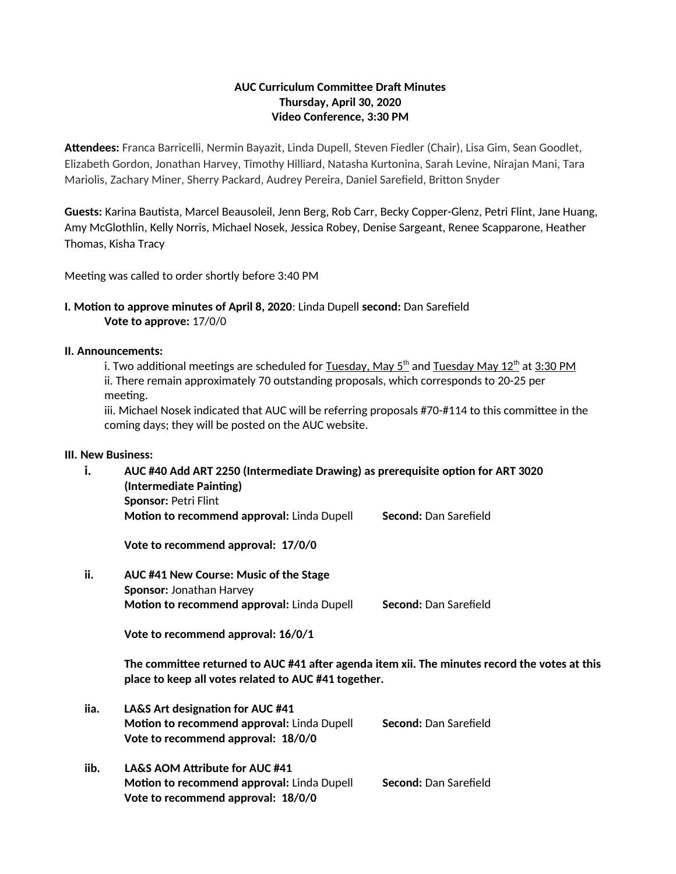### **AUC Curriculum Committee Draft Minutes Thursday, April 30, 2020 Video Conference, 3:30 PM**

**Attendees:** Franca Barricelli, Nermin Bayazit, Linda Dupell, Steven Fiedler (Chair), Lisa Gim, Sean Goodlet, Elizabeth Gordon, Jonathan Harvey, Timothy Hilliard, Natasha Kurtonina, Sarah Levine, Nirajan Mani, Tara Mariolis, Zachary Miner, Sherry Packard, Audrey Pereira, Daniel Sarefield, Britton Snyder

**Guests:** Karina Bautista, Marcel Beausoleil, Jenn Berg, Rob Carr, Becky Copper-Glenz, Petri Flint, Jane Huang, Amy McGlothlin, Kelly Norris, Michael Nosek, Jessica Robey, Denise Sargeant, Renee Scapparone, Heather Thomas, Kisha Tracy

Meeting was called to order shortly before 3:40 PM

## **I. Motion to approve minutes of April 8, 2020**: Linda Dupell **second:** Dan Sarefield **Vote to approve:** 17/0/0

#### **II. Announcements:**

i. Two additional meetings are scheduled for <u>Tuesday, May 5<sup>th</sup> and Tuesday May 12<sup>th</sup> at 3:30 PM</u> ii. There remain approximately 70 outstanding proposals, which corresponds to 20-25 per meeting.

iii. Michael Nosek indicated that AUC will be referring proposals #70-#114 to this committee in the coming days; they will be posted on the AUC website.

#### **III. New Business:**

| i.   | AUC #40 Add ART 2250 (Intermediate Drawing) as prerequisite option for ART 3020<br>(Intermediate Painting)<br>Sponsor: Petri Flint |                              |  |
|------|------------------------------------------------------------------------------------------------------------------------------------|------------------------------|--|
|      | Motion to recommend approval: Linda Dupell                                                                                         | Second: Dan Sarefield        |  |
|      | Vote to recommend approval: 17/0/0                                                                                                 |                              |  |
| ii.  | AUC #41 New Course: Music of the Stage                                                                                             |                              |  |
|      | <b>Sponsor: Jonathan Harvey</b>                                                                                                    |                              |  |
|      | Motion to recommend approval: Linda Dupell                                                                                         | <b>Second:</b> Dan Sarefield |  |
|      | Vote to recommend approval: 16/0/1                                                                                                 |                              |  |
|      | The committee returned to AUC #41 after agenda item xii. The minutes record the votes at this                                      |                              |  |
|      | place to keep all votes related to AUC #41 together.                                                                               |                              |  |
| iia. | LA&S Art designation for AUC #41                                                                                                   |                              |  |
|      | Motion to recommend approval: Linda Dupell                                                                                         | Second: Dan Sarefield        |  |
|      | Vote to recommend approval: 18/0/0                                                                                                 |                              |  |
| iib. | LA&S AOM Attribute for AUC #41                                                                                                     |                              |  |
|      | Motion to recommend approval: Linda Dupell                                                                                         | Second: Dan Sarefield        |  |
|      | Vote to recommend approval: 18/0/0                                                                                                 |                              |  |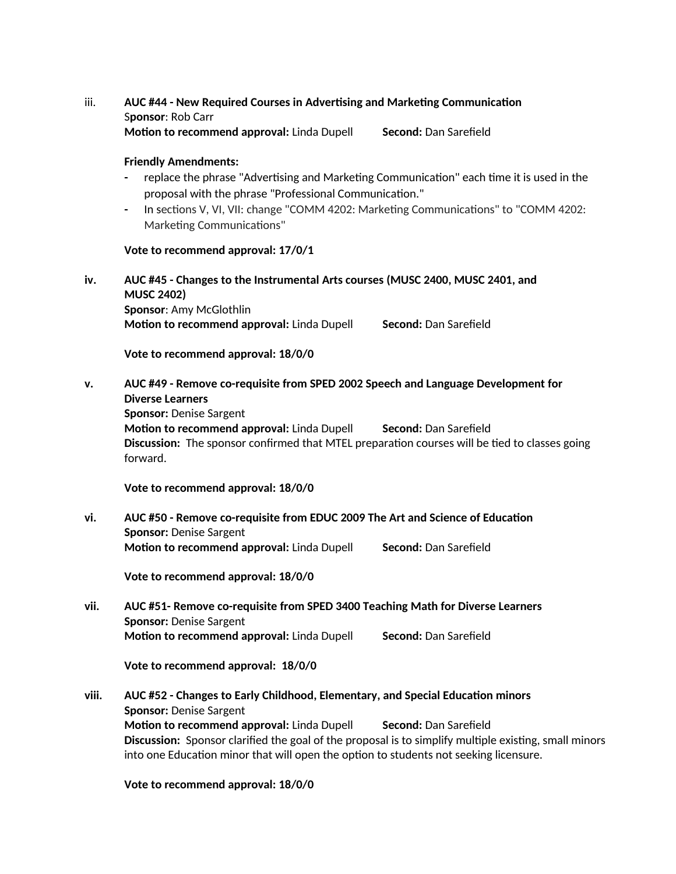# iii. **AUC #44 - New Required Courses in Advertising and Marketing Communication** S**ponsor**: Rob Carr

**Motion to recommend approval: Linda Dupell Second: Dan Sarefield** 

#### **Friendly Amendments:**

- **-** replace the phrase "Advertising and Marketing Communication" each time it is used in the proposal with the phrase "Professional Communication."
- **-** In sections V, VI, VII: change "COMM 4202: Marketing Communications" to "COMM 4202: Marketing Communications"

#### **Vote to recommend approval: 17/0/1**

**iv. AUC #45 - Changes to the Instrumental Arts courses (MUSC 2400, MUSC 2401, and MUSC 2402) Sponsor**: Amy McGlothlin

**Motion to recommend approval: Linda Dupell Second: Dan Sarefield Second: Dan Sarefield** 

**Vote to recommend approval: 18/0/0**

**v. AUC #49 - Remove co-requisite from SPED 2002 Speech and Language Development for Diverse Learners**

**Sponsor:** Denise Sargent

**Motion to recommend approval: Linda Dupell Second: Dan Sarefield Second: Dan Sarefield Discussion:** The sponsor confirmed that MTEL preparation courses will be tied to classes going forward.

**Vote to recommend approval: 18/0/0**

**vi. AUC #50 - Remove co-requisite from EDUC 2009 The Art and Science of Education Sponsor:** Denise Sargent **Motion to recommend approval: Linda Dupell Second: Dan Sarefield Second: Dan Sarefield** 

**Vote to recommend approval: 18/0/0**

**vii. AUC #51- Remove co-requisite from SPED 3400 Teaching Math for Diverse Learners Sponsor:** Denise Sargent **Motion to recommend approval:** Linda Dupell **Second:** Dan Sarefield

**Vote to recommend approval: 18/0/0**

**viii. AUC #52 - Changes to Early Childhood, Elementary, and Special Education minors Sponsor:** Denise Sargent **Motion to recommend approval:** Linda Dupell **Second:** Dan Sarefield **Discussion:** Sponsor clarified the goal of the proposal is to simplify multiple existing, small minors into one Education minor that will open the option to students not seeking licensure.

**Vote to recommend approval: 18/0/0**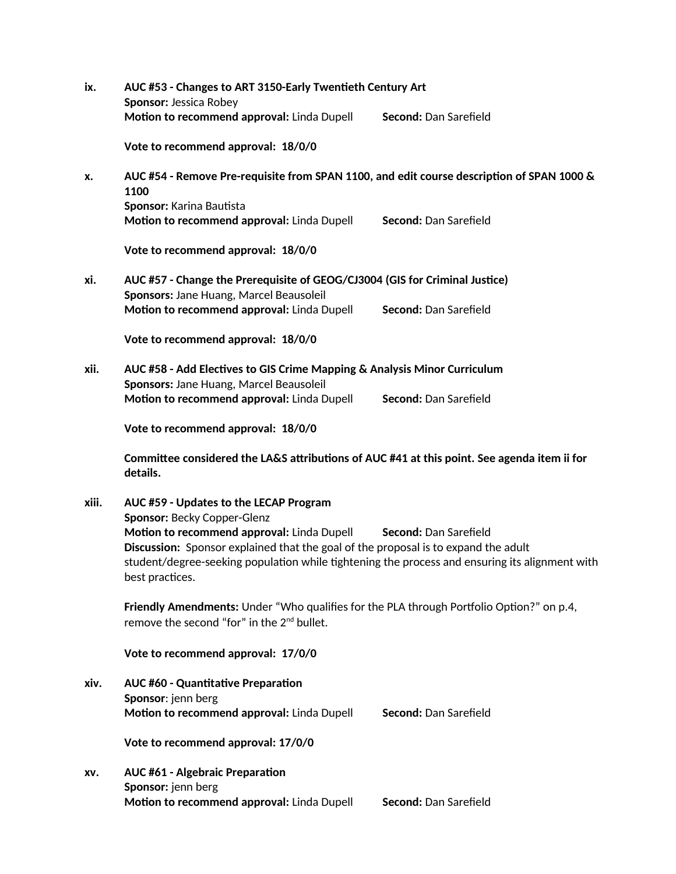| ix.   | AUC #53 - Changes to ART 3150-Early Twentieth Century Art<br>Sponsor: Jessica Robey                                                                                                                                                                   |                       |  |
|-------|-------------------------------------------------------------------------------------------------------------------------------------------------------------------------------------------------------------------------------------------------------|-----------------------|--|
|       | Motion to recommend approval: Linda Dupell                                                                                                                                                                                                            | Second: Dan Sarefield |  |
|       | Vote to recommend approval: 18/0/0                                                                                                                                                                                                                    |                       |  |
| x.    | AUC #54 - Remove Pre-requisite from SPAN 1100, and edit course description of SPAN 1000 &<br>1100                                                                                                                                                     |                       |  |
|       | Sponsor: Karina Bautista<br>Motion to recommend approval: Linda Dupell                                                                                                                                                                                | Second: Dan Sarefield |  |
|       | Vote to recommend approval: 18/0/0                                                                                                                                                                                                                    |                       |  |
| xi.   | AUC #57 - Change the Prerequisite of GEOG/CJ3004 (GIS for Criminal Justice)<br>Sponsors: Jane Huang, Marcel Beausoleil                                                                                                                                |                       |  |
|       | Motion to recommend approval: Linda Dupell                                                                                                                                                                                                            | Second: Dan Sarefield |  |
|       | Vote to recommend approval: 18/0/0                                                                                                                                                                                                                    |                       |  |
| xii.  | AUC #58 - Add Electives to GIS Crime Mapping & Analysis Minor Curriculum                                                                                                                                                                              |                       |  |
|       | Sponsors: Jane Huang, Marcel Beausoleil<br>Motion to recommend approval: Linda Dupell                                                                                                                                                                 | Second: Dan Sarefield |  |
|       | Vote to recommend approval: 18/0/0                                                                                                                                                                                                                    |                       |  |
|       | Committee considered the LA&S attributions of AUC #41 at this point. See agenda item ii for<br>details.                                                                                                                                               |                       |  |
| xiii. | AUC #59 - Updates to the LECAP Program<br>Sponsor: Becky Copper-Glenz                                                                                                                                                                                 |                       |  |
|       | Motion to recommend approval: Linda Dupell<br>Discussion: Sponsor explained that the goal of the proposal is to expand the adult<br>student/degree-seeking population while tightening the process and ensuring its alignment with<br>best practices. | Second: Dan Sarefield |  |
|       | Friendly Amendments: Under "Who qualifies for the PLA through Portfolio Option?" on p.4,<br>remove the second "for" in the 2 <sup>nd</sup> bullet.                                                                                                    |                       |  |
|       | Vote to recommend approval: 17/0/0                                                                                                                                                                                                                    |                       |  |
| xiv.  | <b>AUC #60 - Quantitative Preparation</b><br>Sponsor: jenn berg<br>Motion to recommend approval: Linda Dupell                                                                                                                                         | Second: Dan Sarefield |  |
|       | Vote to recommend approval: 17/0/0                                                                                                                                                                                                                    |                       |  |
|       |                                                                                                                                                                                                                                                       |                       |  |
| XV.   | <b>AUC #61 - Algebraic Preparation</b><br>Sponsor: jenn berg<br>Motion to recommend approval: Linda Dupell                                                                                                                                            | Second: Dan Sarefield |  |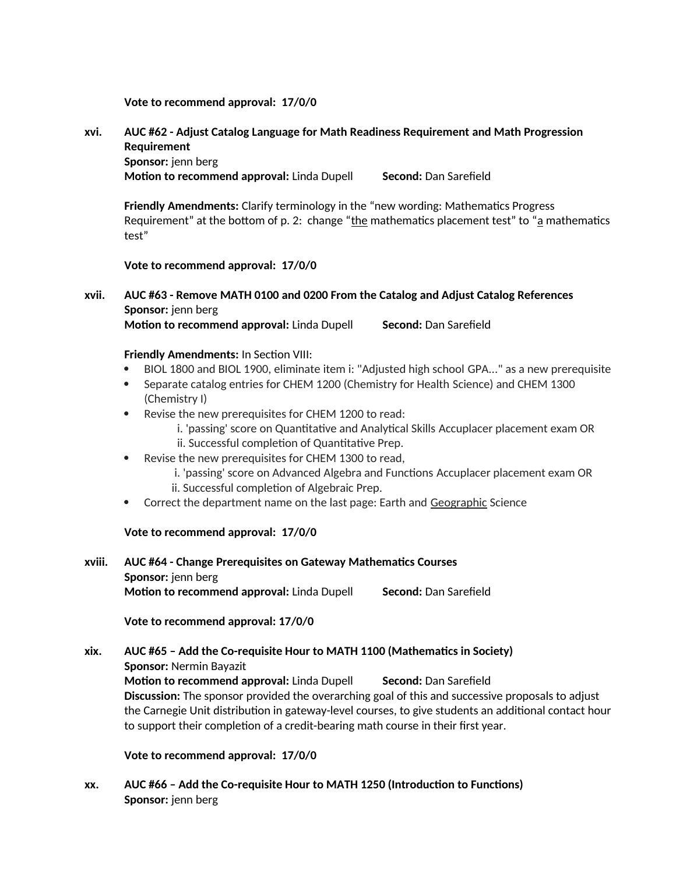**Vote to recommend approval: 17/0/0**

# **xvi. AUC #62 - Adjust Catalog Language for Math Readiness Requirement and Math Progression Requirement Sponsor:** jenn berg

**Motion to recommend approval:** Linda Dupell **Second:** Dan Sarefield

**Friendly Amendments:** Clarify terminology in the "new wording: Mathematics Progress Requirement" at the bottom of p. 2: change "the mathematics placement test" to " $a$  mathematics test"

**Vote to recommend approval: 17/0/0**

# **xvii. AUC #63 - Remove MATH 0100 and 0200 From the Catalog and Adjust Catalog References Sponsor:** jenn berg

**Motion to recommend approval: Linda Dupell Second: Dan Sarefield Second: Dan Sarefield** 

#### **Friendly Amendments:** In Section VIII:

- BIOL 1800 and BIOL 1900, eliminate item i: "Adjusted high school GPA..." as a new prerequisite
- Separate catalog entries for CHEM 1200 (Chemistry for Health Science) and CHEM 1300 (Chemistry I)
- Revise the new prerequisites for CHEM 1200 to read:
	- i. 'passing' score on Quantitative and Analytical Skills Accuplacer placement exam OR ii. Successful completion of Quantitative Prep.
- Revise the new prerequisites for CHEM 1300 to read,
	- i. 'passing' score on Advanced Algebra and Functions Accuplacer placement exam OR
	- ii. Successful completion of Algebraic Prep.
- Correct the department name on the last page: Earth and Geographic Science

#### **Vote to recommend approval: 17/0/0**

**xviii. AUC #64 - Change Prerequisites on Gateway Mathematics Courses Sponsor:** jenn berg **Motion to recommend approval:** Linda Dupell **Second:** Dan Sarefield

## **Vote to recommend approval: 17/0/0**

# **xix. AUC #65 – Add the Co-requisite Hour to MATH 1100 (Mathematics in Society) Sponsor:** Nermin Bayazit **Motion to recommend approval:** Linda Dupell **Second:** Dan Sarefield **Discussion:** The sponsor provided the overarching goal of this and successive proposals to adjust the Carnegie Unit distribution in gateway-level courses, to give students an additional contact hour to support their completion of a credit-bearing math course in their first year.

**Vote to recommend approval: 17/0/0**

**xx. AUC #66 – Add the Co-requisite Hour to MATH 1250 (Introduction to Functions) Sponsor:** jenn berg